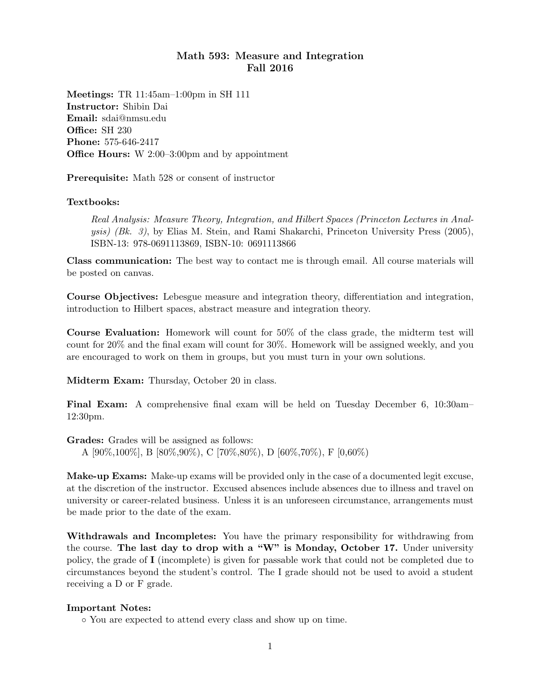## Math 593: Measure and Integration Fall 2016

Meetings: TR 11:45am–1:00pm in SH 111 Instructor: Shibin Dai Email: sdai@nmsu.edu Office: SH 230 Phone: 575-646-2417 Office Hours: W 2:00–3:00pm and by appointment

Prerequisite: Math 528 or consent of instructor

## Textbooks:

Real Analysis: Measure Theory, Integration, and Hilbert Spaces (Princeton Lectures in Analysis) (Bk. 3), by Elias M. Stein, and Rami Shakarchi, Princeton University Press (2005), ISBN-13: 978-0691113869, ISBN-10: 0691113866

Class communication: The best way to contact me is through email. All course materials will be posted on canvas.

Course Objectives: Lebesgue measure and integration theory, differentiation and integration, introduction to Hilbert spaces, abstract measure and integration theory.

Course Evaluation: Homework will count for 50% of the class grade, the midterm test will count for 20% and the final exam will count for 30%. Homework will be assigned weekly, and you are encouraged to work on them in groups, but you must turn in your own solutions.

Midterm Exam: Thursday, October 20 in class.

Final Exam: A comprehensive final exam will be held on Tuesday December 6, 10:30am– 12:30pm.

Grades: Grades will be assigned as follows:

A [90%,100%], B [80%,90%), C [70%,80%), D [60%,70%), F [0,60%)

Make-up Exams: Make-up exams will be provided only in the case of a documented legit excuse, at the discretion of the instructor. Excused absences include absences due to illness and travel on university or career-related business. Unless it is an unforeseen circumstance, arrangements must be made prior to the date of the exam.

Withdrawals and Incompletes: You have the primary responsibility for withdrawing from the course. The last day to drop with a "W" is Monday, October 17. Under university policy, the grade of I (incomplete) is given for passable work that could not be completed due to circumstances beyond the student's control. The I grade should not be used to avoid a student receiving a D or F grade.

## Important Notes:

◦ You are expected to attend every class and show up on time.